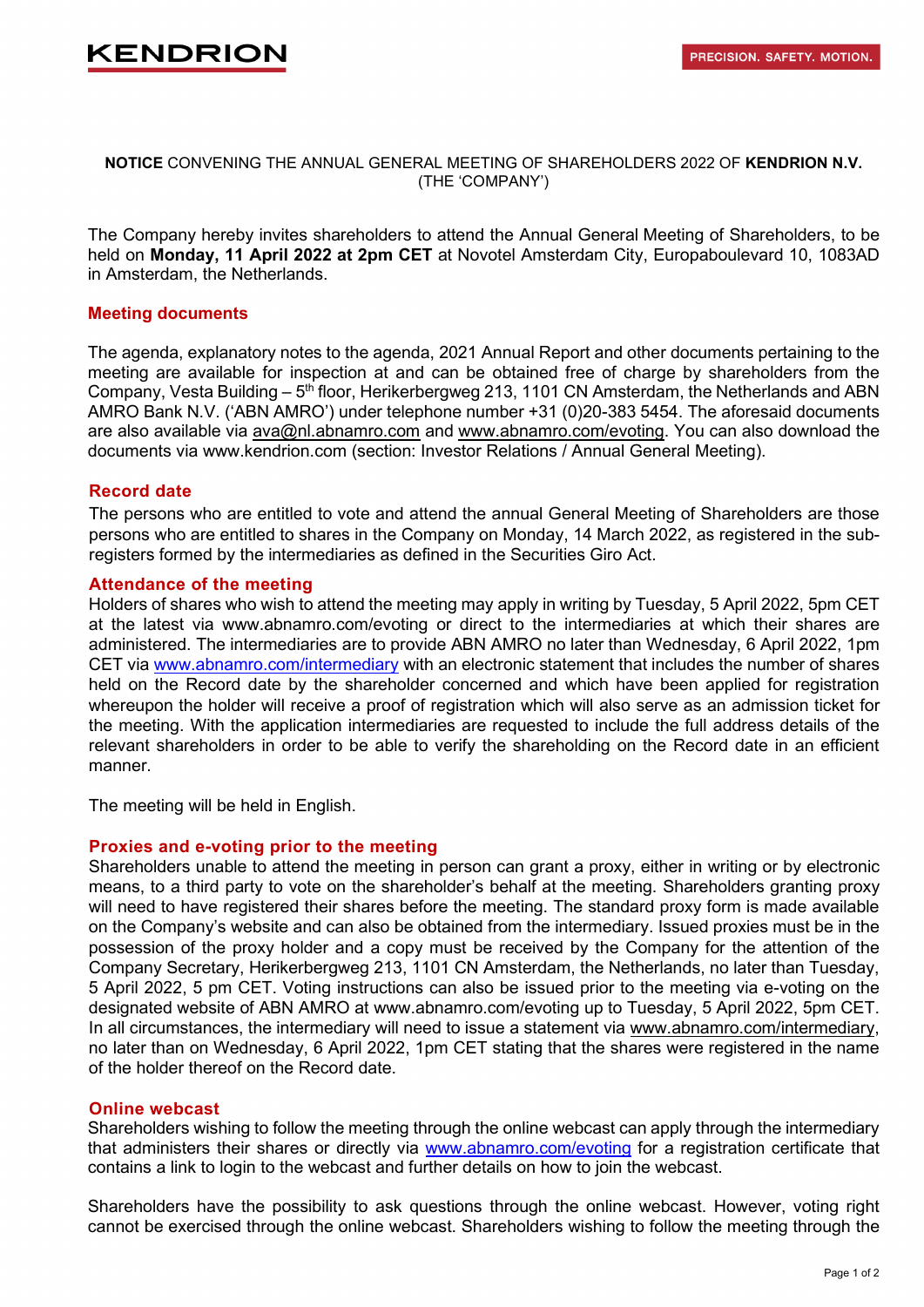# **KENDRION**

#### **NOTICE** CONVENING THE ANNUAL GENERAL MEETING OF SHAREHOLDERS 2022 OF **KENDRION N.V.**  (THE 'COMPANY')

The Company hereby invites shareholders to attend the Annual General Meeting of Shareholders, to be held on **Monday, 11 April 2022 at 2pm CET** at Novotel Amsterdam City, Europaboulevard 10, 1083AD in Amsterdam, the Netherlands.

## **Meeting documents**

The agenda, explanatory notes to the agenda, 2021 Annual Report and other documents pertaining to the meeting are available for inspection at and can be obtained free of charge by shareholders from the Company, Vesta Building – 5<sup>th</sup> floor, Herikerbergweg 213, 1101 CN Amsterdam, the Netherlands and ABN AMRO Bank N.V. ('ABN AMRO') under telephone number +31 (0)20-383 5454. The aforesaid documents are also available via [ava@nl.abnamro.com](mailto:ava@nl.abnamro.com) and [www.abnamro.com/evoting.](http://www.abnamro.com/evoting) You can also download the documents via www.kendrion.com (section: Investor Relations / Annual General Meeting).

## **Record date**

The persons who are entitled to vote and attend the annual General Meeting of Shareholders are those persons who are entitled to shares in the Company on Monday, 14 March 2022, as registered in the subregisters formed by the intermediaries as defined in the Securities Giro Act.

#### **Attendance of the meeting**

Holders of shares who wish to attend the meeting may apply in writing by Tuesday, 5 April 2022, 5pm CET at the latest via www.abnamro.com/evoting or direct to the intermediaries at which their shares are administered. The intermediaries are to provide ABN AMRO no later than Wednesday, 6 April 2022, 1pm CET via [www.abnamro.com/intermediary](http://www.abnamro.com/intermediary) with an electronic statement that includes the number of shares held on the Record date by the shareholder concerned and which have been applied for registration whereupon the holder will receive a proof of registration which will also serve as an admission ticket for the meeting. With the application intermediaries are requested to include the full address details of the relevant shareholders in order to be able to verify the shareholding on the Record date in an efficient manner.

The meeting will be held in English.

## **Proxies and e-voting prior to the meeting**

Shareholders unable to attend the meeting in person can grant a proxy, either in writing or by electronic means, to a third party to vote on the shareholder's behalf at the meeting. Shareholders granting proxy will need to have registered their shares before the meeting. The standard proxy form is made available on the Company's website and can also be obtained from the intermediary. Issued proxies must be in the possession of the proxy holder and a copy must be received by the Company for the attention of the Company Secretary, Herikerbergweg 213, 1101 CN Amsterdam, the Netherlands, no later than Tuesday, 5 April 2022, 5 pm CET. Voting instructions can also be issued prior to the meeting via e-voting on the designated website of ABN AMRO at www.abnamro.com/evoting up to Tuesday, 5 April 2022, 5pm CET. In all circumstances, the intermediary will need to issue a statement via [www.abnamro.com/intermediary,](http://www.abnamro.com/intermediary) no later than on Wednesday, 6 April 2022, 1pm CET stating that the shares were registered in the name of the holder thereof on the Record date.

#### **Online webcast**

Shareholders wishing to follow the meeting through the online webcast can apply through the intermediary that administers their shares or directly via [www.abnamro.com/evoting](http://www.abnamro.com/evoting) for a registration certificate that contains a link to login to the webcast and further details on how to join the webcast.

Shareholders have the possibility to ask questions through the online webcast. However, voting right cannot be exercised through the online webcast. Shareholders wishing to follow the meeting through the